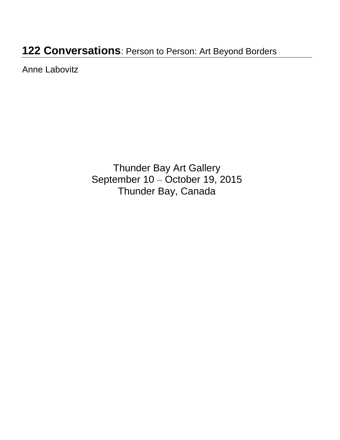# **122 Conversations**: Person to Person: Art Beyond Borders

Anne Labovitz

Thunder Bay Art Gallery September 10 – October 19, 2015 Thunder Bay, Canada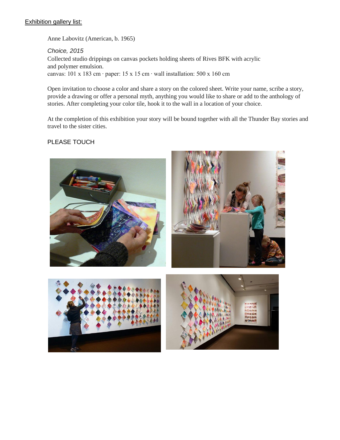#### **Exhibition gallery list:**

Anne Labovitz (American, b. 1965)

*Choice, 2015* Collected studio drippings on canvas pockets holding sheets of Rives BFK with acrylic and polymer emulsion. canvas: 101 x 183 cm ∙ paper: 15 x 15 cm ∙ wall installation: 500 x 160 cm

Open invitation to choose a color and share a story on the colored sheet. Write your name, scribe a story, provide a drawing or offer a personal myth, anything you would like to share or add to the anthology of stories. After completing your color tile, hook it to the wall in a location of your choice.

At the completion of this exhibition your story will be bound together with all the Thunder Bay stories and travel to the sister cities.

#### PLEASE TOUCH

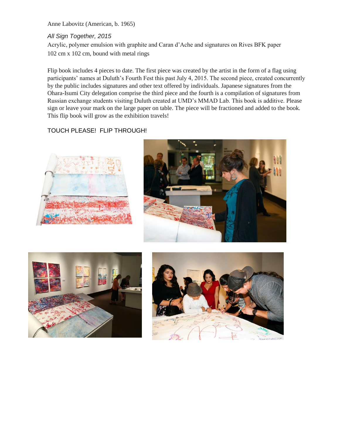Anne Labovitz (American, b. 1965)

#### *All Sign Together, 2015*

Acrylic, polymer emulsion with graphite and Caran d'Ache and signatures on Rives BFK paper 102 cm x 102 cm, bound with metal rings

Flip book includes 4 pieces to date. The first piece was created by the artist in the form of a flag using participants' names at Duluth's Fourth Fest this past July 4, 2015. The second piece, created concurrently by the public includes signatures and other text offered by individuals. Japanese signatures from the Ohara-Isumi City delegation comprise the third piece and the fourth is a compilation of signatures from Russian exchange students visiting Duluth created at UMD's MMAD Lab. This book is additive. Please sign or leave your mark on the large paper on table. The piece will be fractioned and added to the book. This flip book will grow as the exhibition travels!

#### TOUCH PLEASE! FLIP THROUGH!







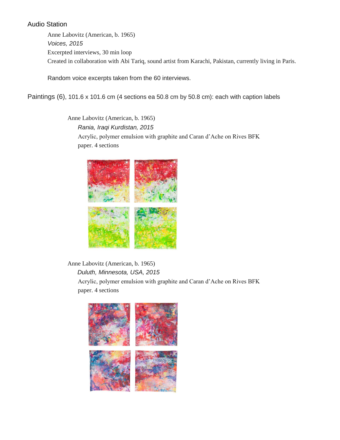### Audio Station

Anne Labovitz (American, b. 1965) *Voices, 2015* Excerpted interviews, 30 min loop Created in collaboration with Abi Tariq, sound artist from Karachi, Pakistan, currently living in Paris.

Random voice excerpts taken from the 60 interviews.

Paintings (6), 101.6 x 101.6 cm (4 sections ea 50.8 cm by 50.8 cm): each with caption labels

Anne Labovitz (American, b. 1965) *Rania, Iraqi Kurdistan, 2015* Acrylic, polymer emulsion with graphite and Caran d'Ache on Rives BFK paper. 4 sections



Anne Labovitz (American, b. 1965) *Duluth, Minnesota, USA, 2015* Acrylic, polymer emulsion with graphite and Caran d'Ache on Rives BFK paper. 4 sections

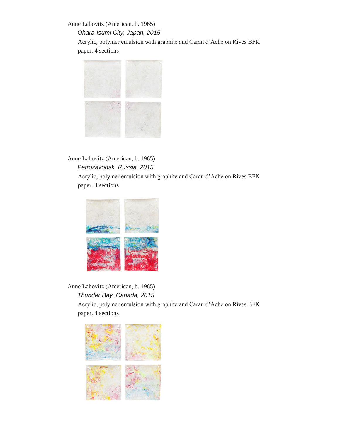Anne Labovitz (American, b. 1965) *Ohara-Isumi City, Japan, 2015* Acrylic, polymer emulsion with graphite and Caran d'Ache on Rives BFK paper. 4 sections



#### Anne Labovitz (American, b. 1965) *Petrozavodsk, Russia, 2015*

Acrylic, polymer emulsion with graphite and Caran d'Ache on Rives BFK paper. 4 sections



Anne Labovitz (American, b. 1965) *Thunder Bay, Canada, 2015* Acrylic, polymer emulsion with graphite and Caran d'Ache on Rives BFK paper. 4 sections

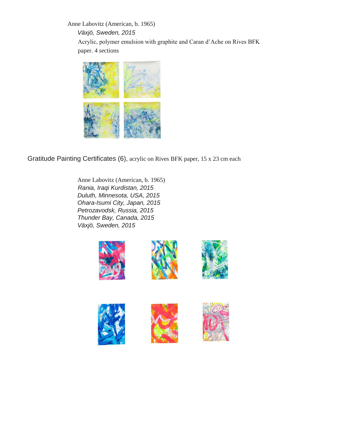Anne Labovitz (American, b. 1965) *Växjö, Sweden, 2015* Acrylic, polymer emulsion with graphite and Caran d'Ache on Rives BFK paper. 4 sections



Gratitude Painting Certificates (6), acrylic on Rives BFK paper, 15 x 23 cm each

Anne Labovitz (American, b. 1965) *Rania, Iraqi Kurdistan, 2015 Duluth, Minnesota, USA, 2015 Ohara-Isumi City, Japan, 2015 Petrozavodsk, Russia, 2015 Thunder Bay, Canada, 2015 Växjö, Sweden, 2015*